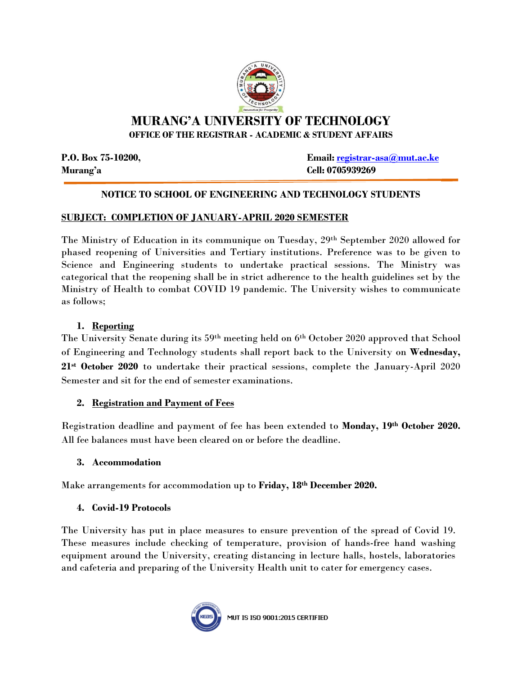

# **MURANG'A UNIVERSITY OF TECHNOLOGY OFFICE OF THE REGISTRAR - ACADEMIC & STUDENT AFFAIRS**

**Murang'a Cell: 0705939269**

**P.O. Box 75-10200, Email: [registrar-asa@mut.ac.ke](mailto:registrar-asa@mut.ac.ke)**

# **NOTICE TO SCHOOL OF ENGINEERING AND TECHNOLOGY STUDENTS**

### **SUBJECT: COMPLETION OF JANUARY-APRIL 2020 SEMESTER**

The Ministry of Education in its communique on Tuesday, 29th September 2020 allowed for phased reopening of Universities and Tertiary institutions. Preference was to be given to Science and Engineering students to undertake practical sessions. The Ministry was categorical that the reopening shall be in strict adherence to the health guidelines set by the Ministry of Health to combat COVID 19 pandemic. The University wishes to communicate as follows;

# **1. Reporting**

The University Senate during its 59th meeting held on 6th October 2020 approved that School of Engineering and Technology students shall report back to the University on **Wednesday, 21st October 2020** to undertake their practical sessions, complete the January-April 2020 Semester and sit for the end of semester examinations.

### **2. Registration and Payment of Fees**

Registration deadline and payment of fee has been extended to **Monday, 19th October 2020.** All fee balances must have been cleared on or before the deadline.

### **3. Accommodation**

Make arrangements for accommodation up to **Friday, 18th December 2020.**

### **4. Covid-19 Protocols**

The University has put in place measures to ensure prevention of the spread of Covid 19. These measures include checking of temperature, provision of hands-free hand washing equipment around the University, creating distancing in lecture halls, hostels, laboratories and cafeteria and preparing of the University Health unit to cater for emergency cases.



MUT IS ISO 9001:2015 CERTIFIED